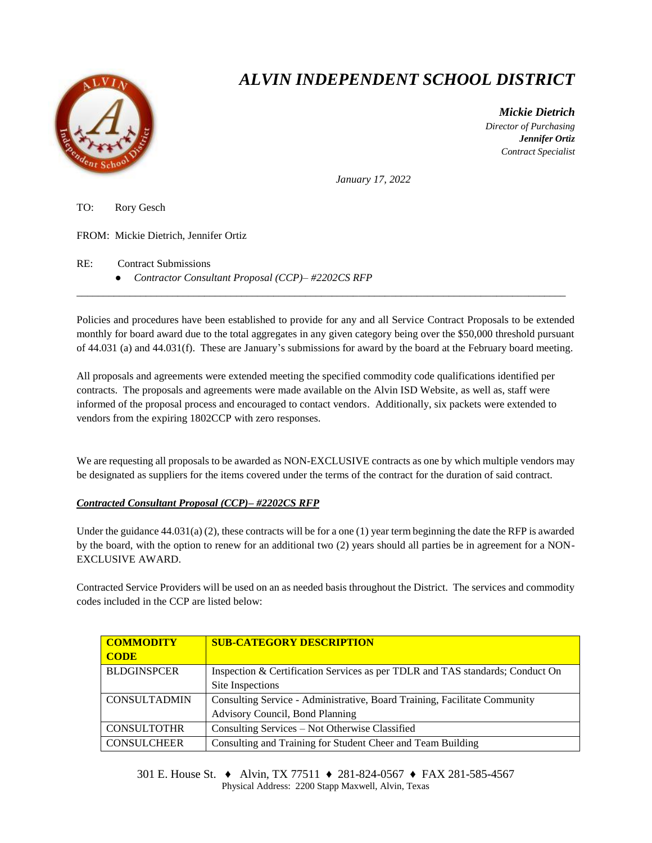

## *ALVIN INDEPENDENT SCHOOL DISTRICT*

 *Mickie Dietrich Director of Purchasing Jennifer Ortiz Contract Specialist*

*January 17, 2022*

TO: Rory Gesch FROM: Mickie Dietrich, Jennifer Ortiz RE: Contract Submissions

● *Contractor Consultant Proposal (CCP)– #2202CS RFP*

Policies and procedures have been established to provide for any and all Service Contract Proposals to be extended monthly for board award due to the total aggregates in any given category being over the \$50,000 threshold pursuant of 44.031 (a) and 44.031(f). These are January's submissions for award by the board at the February board meeting.

\_\_\_\_\_\_\_\_\_\_\_\_\_\_\_\_\_\_\_\_\_\_\_\_\_\_\_\_\_\_\_\_\_\_\_\_\_\_\_\_\_\_\_\_\_\_\_\_\_\_\_\_\_\_\_\_\_\_\_\_\_\_\_\_\_\_\_\_\_\_\_\_\_\_\_\_\_\_\_\_\_\_\_\_\_\_\_\_\_\_\_\_

All proposals and agreements were extended meeting the specified commodity code qualifications identified per contracts. The proposals and agreements were made available on the Alvin ISD Website, as well as, staff were informed of the proposal process and encouraged to contact vendors. Additionally, six packets were extended to vendors from the expiring 1802CCP with zero responses.

We are requesting all proposals to be awarded as NON-EXCLUSIVE contracts as one by which multiple vendors may be designated as suppliers for the items covered under the terms of the contract for the duration of said contract.

## *Contracted Consultant Proposal (CCP)– #2202CS RFP*

Under the guidance  $44.031(a)$  (2), these contracts will be for a one (1) year term beginning the date the RFP is awarded by the board, with the option to renew for an additional two (2) years should all parties be in agreement for a NON-EXCLUSIVE AWARD.

Contracted Service Providers will be used on an as needed basis throughout the District. The services and commodity codes included in the CCP are listed below:

| <b>COMMODITY</b><br><b>CODE</b> | <b>SUB-CATEGORY DESCRIPTION</b>                                               |  |  |  |
|---------------------------------|-------------------------------------------------------------------------------|--|--|--|
| <b>BLDGINSPCER</b>              | Inspection & Certification Services as per TDLR and TAS standards; Conduct On |  |  |  |
|                                 | Site Inspections                                                              |  |  |  |
| <b>CONSULTADMIN</b>             | Consulting Service - Administrative, Board Training, Facilitate Community     |  |  |  |
|                                 | Advisory Council, Bond Planning                                               |  |  |  |
| <b>CONSULTOTHR</b>              | Consulting Services - Not Otherwise Classified                                |  |  |  |
| <b>CONSULCHEER</b>              | Consulting and Training for Student Cheer and Team Building                   |  |  |  |

301 E. House St. ♦ Alvin, TX 77511 ♦ 281-824-0567 ♦ FAX 281-585-4567 Physical Address: 2200 Stapp Maxwell, Alvin, Texas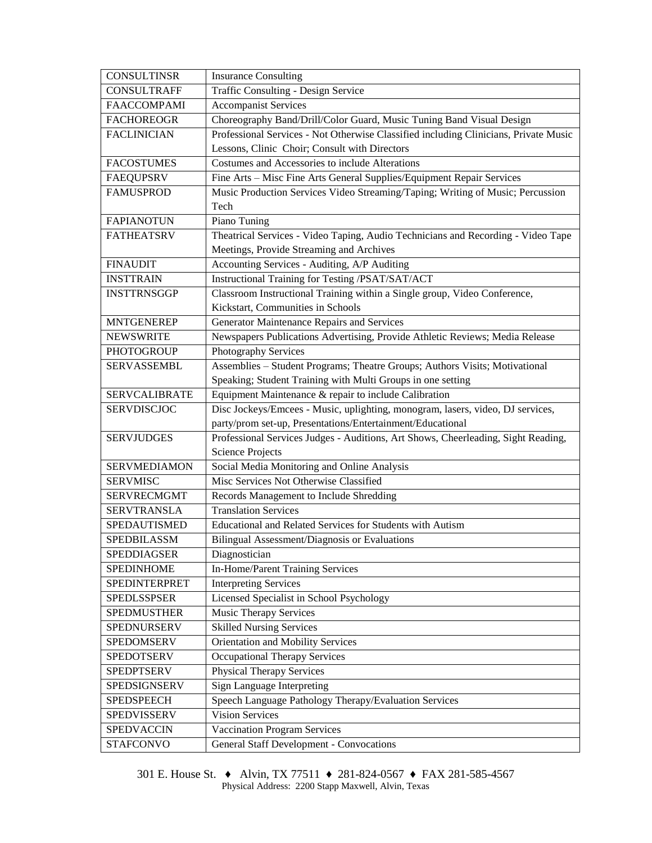| <b>CONSULTINSR</b>   | <b>Insurance Consulting</b>                                                          |  |  |  |  |
|----------------------|--------------------------------------------------------------------------------------|--|--|--|--|
| <b>CONSULTRAFF</b>   | Traffic Consulting - Design Service                                                  |  |  |  |  |
| <b>FAACCOMPAMI</b>   | <b>Accompanist Services</b>                                                          |  |  |  |  |
| <b>FACHOREOGR</b>    | Choreography Band/Drill/Color Guard, Music Tuning Band Visual Design                 |  |  |  |  |
| <b>FACLINICIAN</b>   | Professional Services - Not Otherwise Classified including Clinicians, Private Music |  |  |  |  |
|                      | Lessons, Clinic Choir; Consult with Directors                                        |  |  |  |  |
| <b>FACOSTUMES</b>    | Costumes and Accessories to include Alterations                                      |  |  |  |  |
| <b>FAEQUPSRV</b>     | Fine Arts - Misc Fine Arts General Supplies/Equipment Repair Services                |  |  |  |  |
| <b>FAMUSPROD</b>     | Music Production Services Video Streaming/Taping; Writing of Music; Percussion       |  |  |  |  |
|                      | Tech                                                                                 |  |  |  |  |
| <b>FAPIANOTUN</b>    | Piano Tuning                                                                         |  |  |  |  |
| <b>FATHEATSRV</b>    | Theatrical Services - Video Taping, Audio Technicians and Recording - Video Tape     |  |  |  |  |
|                      | Meetings, Provide Streaming and Archives                                             |  |  |  |  |
| <b>FINAUDIT</b>      | Accounting Services - Auditing, A/P Auditing                                         |  |  |  |  |
| <b>INSTTRAIN</b>     | Instructional Training for Testing /PSAT/SAT/ACT                                     |  |  |  |  |
| <b>INSTTRNSGGP</b>   | Classroom Instructional Training within a Single group, Video Conference,            |  |  |  |  |
|                      | Kickstart, Communities in Schools                                                    |  |  |  |  |
| <b>MNTGENEREP</b>    | Generator Maintenance Repairs and Services                                           |  |  |  |  |
| <b>NEWSWRITE</b>     | Newspapers Publications Advertising, Provide Athletic Reviews; Media Release         |  |  |  |  |
| PHOTOGROUP           | Photography Services                                                                 |  |  |  |  |
| SERVASSEMBL          | Assemblies - Student Programs; Theatre Groups; Authors Visits; Motivational          |  |  |  |  |
|                      | Speaking; Student Training with Multi Groups in one setting                          |  |  |  |  |
| <b>SERVCALIBRATE</b> | Equipment Maintenance & repair to include Calibration                                |  |  |  |  |
| SERVDISCJOC          | Disc Jockeys/Emcees - Music, uplighting, monogram, lasers, video, DJ services,       |  |  |  |  |
|                      | party/prom set-up, Presentations/Entertainment/Educational                           |  |  |  |  |
| <b>SERVJUDGES</b>    | Professional Services Judges - Auditions, Art Shows, Cheerleading, Sight Reading,    |  |  |  |  |
|                      | <b>Science Projects</b>                                                              |  |  |  |  |
| <b>SERVMEDIAMON</b>  | Social Media Monitoring and Online Analysis                                          |  |  |  |  |
| <b>SERVMISC</b>      | Misc Services Not Otherwise Classified                                               |  |  |  |  |
| <b>SERVRECMGMT</b>   | Records Management to Include Shredding                                              |  |  |  |  |
| <b>SERVTRANSLA</b>   | <b>Translation Services</b>                                                          |  |  |  |  |
| SPEDAUTISMED         | Educational and Related Services for Students with Autism                            |  |  |  |  |
| SPEDBILASSM          | Bilingual Assessment/Diagnosis or Evaluations                                        |  |  |  |  |
| SPEDDIAGSER          | Diagnostician                                                                        |  |  |  |  |
| <b>SPEDINHOME</b>    | In-Home/Parent Training Services                                                     |  |  |  |  |
| SPEDINTERPRET        | <b>Interpreting Services</b>                                                         |  |  |  |  |
| <b>SPEDLSSPSER</b>   | Licensed Specialist in School Psychology                                             |  |  |  |  |
| <b>SPEDMUSTHER</b>   | <b>Music Therapy Services</b>                                                        |  |  |  |  |
| SPEDNURSERV          | <b>Skilled Nursing Services</b>                                                      |  |  |  |  |
| SPEDOMSERV           | <b>Orientation and Mobility Services</b>                                             |  |  |  |  |
| <b>SPEDOTSERV</b>    | <b>Occupational Therapy Services</b>                                                 |  |  |  |  |
| <b>SPEDPTSERV</b>    | <b>Physical Therapy Services</b>                                                     |  |  |  |  |
| SPEDSIGNSERV         | Sign Language Interpreting                                                           |  |  |  |  |
| <b>SPEDSPEECH</b>    | Speech Language Pathology Therapy/Evaluation Services                                |  |  |  |  |
| SPEDVISSERV          | <b>Vision Services</b>                                                               |  |  |  |  |
| SPEDVACCIN           | Vaccination Program Services                                                         |  |  |  |  |
| <b>STAFCONVO</b>     | <b>General Staff Development - Convocations</b>                                      |  |  |  |  |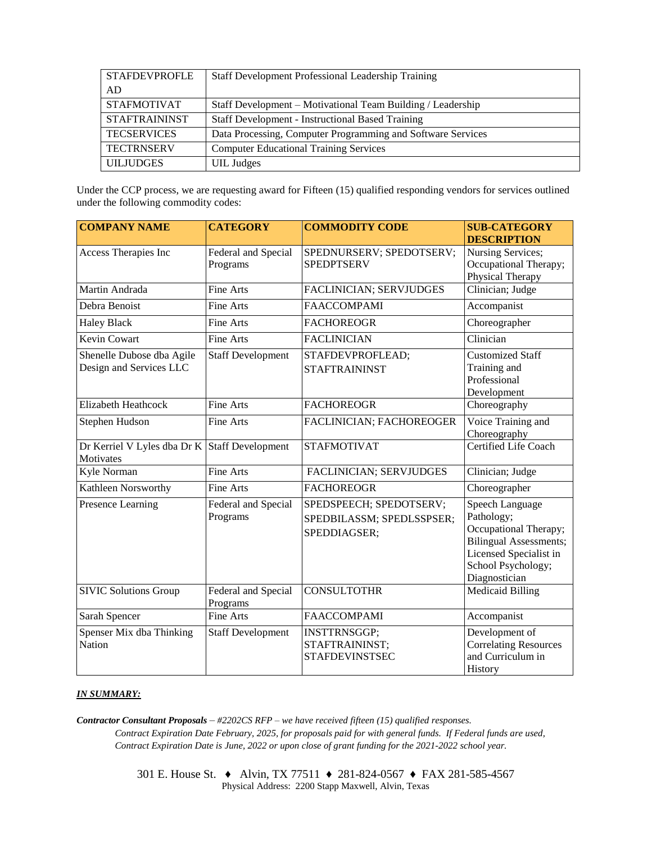| <b>STAFDEVPROFLE</b> | <b>Staff Development Professional Leadership Training</b>   |  |  |
|----------------------|-------------------------------------------------------------|--|--|
| AD                   |                                                             |  |  |
| <b>STAFMOTIVAT</b>   | Staff Development – Motivational Team Building / Leadership |  |  |
| <b>STAFTRAININST</b> | <b>Staff Development - Instructional Based Training</b>     |  |  |
| <b>TECSERVICES</b>   | Data Processing, Computer Programming and Software Services |  |  |
| <b>TECTRNSERV</b>    | <b>Computer Educational Training Services</b>               |  |  |
| <b>UILJUDGES</b>     | <b>UIL</b> Judges                                           |  |  |

Under the CCP process, we are requesting award for Fifteen (15) qualified responding vendors for services outlined under the following commodity codes:

| <b>COMPANY NAME</b>                                        | <b>CATEGORY</b>                 | <b>COMMODITY CODE</b>                                                | <b>SUB-CATEGORY</b><br><b>DESCRIPTION</b>                                                                                                                |
|------------------------------------------------------------|---------------------------------|----------------------------------------------------------------------|----------------------------------------------------------------------------------------------------------------------------------------------------------|
| Access Therapies Inc                                       | Federal and Special<br>Programs | SPEDNURSERV; SPEDOTSERV;<br><b>SPEDPTSERV</b>                        | Nursing Services;<br>Occupational Therapy;<br>Physical Therapy                                                                                           |
| Martin Andrada                                             | <b>Fine Arts</b>                | FACLINICIAN; SERVJUDGES                                              | Clinician; Judge                                                                                                                                         |
| Debra Benoist                                              | Fine Arts                       | <b>FAACCOMPAMI</b>                                                   | Accompanist                                                                                                                                              |
| <b>Haley Black</b>                                         | Fine Arts                       | <b>FACHOREOGR</b>                                                    | Choreographer                                                                                                                                            |
| <b>Kevin Cowart</b>                                        | Fine Arts                       | <b>FACLINICIAN</b>                                                   | Clinician                                                                                                                                                |
| Shenelle Dubose dba Agile<br>Design and Services LLC       | <b>Staff Development</b>        | STAFDEVPROFLEAD;<br><b>STAFTRAININST</b>                             | <b>Customized Staff</b><br>Training and<br>Professional<br>Development                                                                                   |
| <b>Elizabeth Heathcock</b>                                 | Fine Arts                       | <b>FACHOREOGR</b>                                                    | Choreography                                                                                                                                             |
| Stephen Hudson                                             | Fine Arts                       | FACLINICIAN; FACHOREOGER                                             | Voice Training and<br>Choreography                                                                                                                       |
| Dr Kerriel V Lyles dba Dr K Staff Development<br>Motivates |                                 | <b>STAFMOTIVAT</b>                                                   | Certified Life Coach                                                                                                                                     |
| Kyle Norman                                                | <b>Fine Arts</b>                | FACLINICIAN; SERVJUDGES                                              | Clinician; Judge                                                                                                                                         |
| Kathleen Norsworthy                                        | Fine Arts                       | <b>FACHOREOGR</b>                                                    | Choreographer                                                                                                                                            |
| Presence Learning                                          | Federal and Special<br>Programs | SPEDSPEECH; SPEDOTSERV;<br>SPEDBILASSM; SPEDLSSPSER;<br>SPEDDIAGSER; | Speech Language<br>Pathology;<br>Occupational Therapy;<br><b>Bilingual Assessments;</b><br>Licensed Specialist in<br>School Psychology;<br>Diagnostician |
| <b>SIVIC Solutions Group</b>                               | Federal and Special<br>Programs | <b>CONSULTOTHR</b>                                                   | <b>Medicaid Billing</b>                                                                                                                                  |
| Sarah Spencer                                              | Fine Arts                       | <b>FAACCOMPAMI</b>                                                   | Accompanist                                                                                                                                              |
| Spenser Mix dba Thinking<br><b>Nation</b>                  | <b>Staff Development</b>        | <b>INSTTRNSGGP;</b><br>STAFTRAININST;<br><b>STAFDEVINSTSEC</b>       | Development of<br><b>Correlating Resources</b><br>and Curriculum in<br>History                                                                           |

## *IN SUMMARY:*

*Contractor Consultant Proposals* – *#2202CS RFP – we have received fifteen (15) qualified responses. Contract Expiration Date February, 2025, for proposals paid for with general funds. If Federal funds are used, Contract Expiration Date is June, 2022 or upon close of grant funding for the 2021-2022 school year.*

> 301 E. House St. ♦ Alvin, TX 77511 ♦ 281-824-0567 ♦ FAX 281-585-4567 Physical Address: 2200 Stapp Maxwell, Alvin, Texas